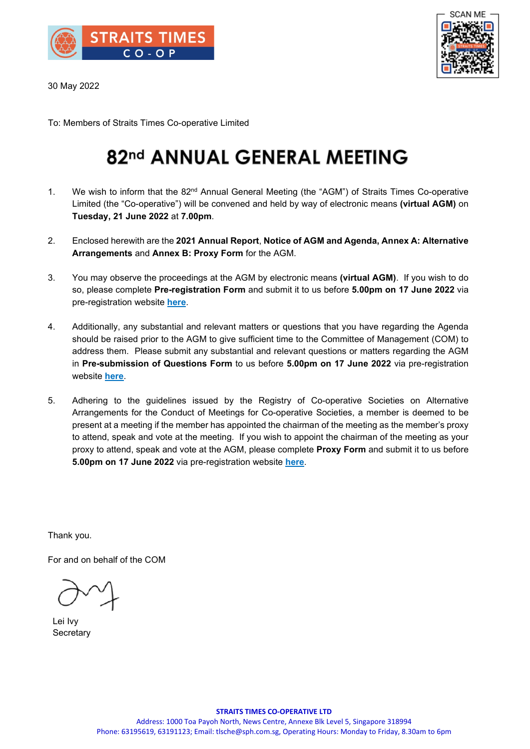

30 May 2022



To: Members of Straits Times Co-operative Limited

## 82nd ANNUAL GENERAL MEETING

- 1. We wish to inform that the  $82<sup>nd</sup>$  Annual General Meeting (the "AGM") of Straits Times Co-operative Limited (the "Co-operative") will be convened and held by way of electronic means **(virtual AGM)** on **Tuesday, 21 June 2022** at **7.00pm**.
- 2. Enclosed herewith are the **2021 Annual Report**, **Notice of AGM and Agenda, Annex A: Alternative Arrangements** and **Annex B: Proxy Form** for the AGM.
- 3. You may observe the proceedings at the AGM by electronic means **(virtual AGM)**. If you wish to do so, please complete **Pre-registration Form** and submit it to us before **5.00pm on 17 June 2022** via pre-registration website **[here](https://forms.gle/Q2aTXzKsVJdtVepF6)**.
- 4. Additionally, any substantial and relevant matters or questions that you have regarding the Agenda should be raised prior to the AGM to give sufficient time to the Committee of Management (COM) to address them. Please submit any substantial and relevant questions or matters regarding the AGM in **Pre-submission of Questions Form** to us before **5.00pm on 17 June 2022** via pre-registration website **[here](https://forms.gle/Q2aTXzKsVJdtVepF6)**.
- 5. Adhering to the guidelines issued by the Registry of Co-operative Societies on Alternative Arrangements for the Conduct of Meetings for Co-operative Societies, a member is deemed to be present at a meeting if the member has appointed the chairman of the meeting as the member's proxy to attend, speak and vote at the meeting. If you wish to appoint the chairman of the meeting as your proxy to attend, speak and vote at the AGM, please complete **Proxy Form** and submit it to us before **5.00pm on 17 June 2022** via pre-registration website **[here](https://forms.gle/Q2aTXzKsVJdtVepF6)**.

Thank you.

For and on behalf of the COM

Lei Ivy **Secretary**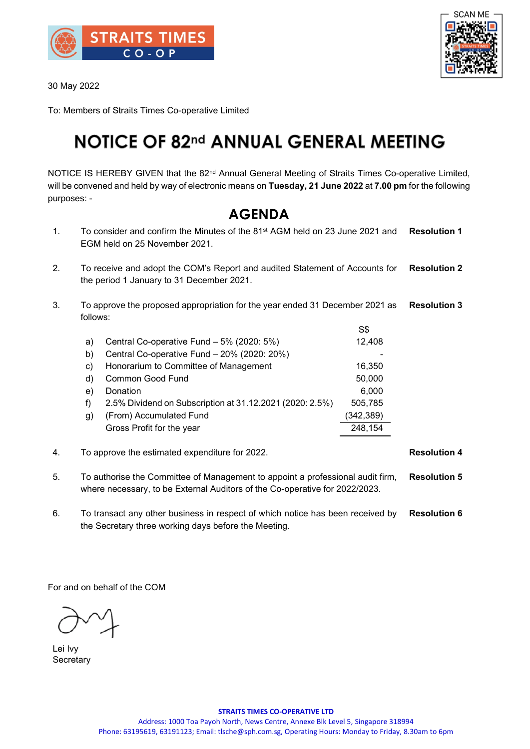

30 May 2022



To: Members of Straits Times Co-operative Limited

## **NOTICE OF 82nd ANNUAL GENERAL MEETING**

NOTICE IS HEREBY GIVEN that the 82<sup>nd</sup> Annual General Meeting of Straits Times Co-operative Limited, will be convened and held by way of electronic means on **Tuesday, 21 June 2022** at **7.00 pm** for the following purposes: -

### **AGENDA**

- 1. To consider and confirm the Minutes of the 81st AGM held on 23 June 2021 and EGM held on 25 November 2021. **Resolution 1**
- 2. To receive and adopt the COM's Report and audited Statement of Accounts for the period 1 January to 31 December 2021. **Resolution 2**
- 3. To approve the proposed appropriation for the year ended 31 December 2021 as follows: **Resolution 3**

|    |                                                          | S\$        |  |
|----|----------------------------------------------------------|------------|--|
| a) | Central Co-operative Fund - 5% (2020: 5%)                | 12,408     |  |
| b) | Central Co-operative Fund - 20% (2020: 20%)              |            |  |
| C) | Honorarium to Committee of Management                    | 16,350     |  |
| d) | Common Good Fund                                         | 50,000     |  |
| e) | Donation                                                 | 6,000      |  |
| f) | 2.5% Dividend on Subscription at 31.12.2021 (2020: 2.5%) | 505,785    |  |
| g) | (From) Accumulated Fund                                  | (342, 389) |  |
|    | Gross Profit for the year                                | 248,154    |  |
|    |                                                          |            |  |

4. To approve the estimated expenditure for 2022. **Resolution 4**

- 5. To authorise the Committee of Management to appoint a professional audit firm, where necessary, to be External Auditors of the Co-operative for 2022/2023. **Resolution 5**
- 6. To transact any other business in respect of which notice has been received by the Secretary three working days before the Meeting. **Resolution 6**

For and on behalf of the COM

Lei Ivy **Secretary**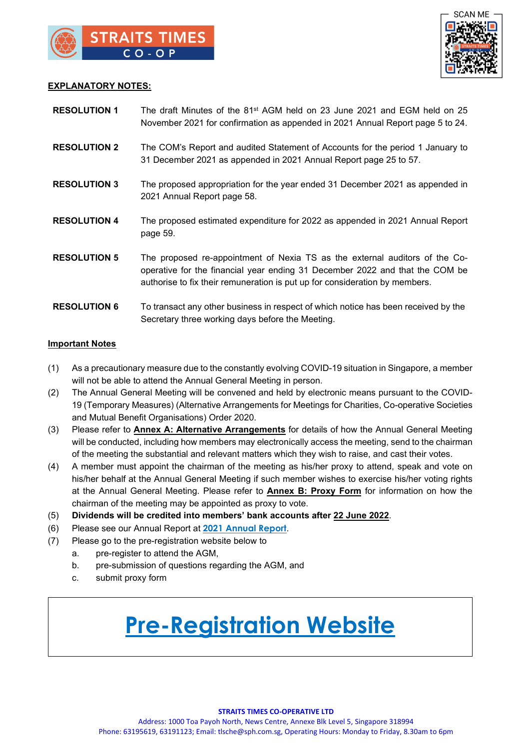

#### **EXPLANATORY NOTES:**

| <b>RESOLUTION 1</b> | The draft Minutes of the 81 <sup>st</sup> AGM held on 23 June 2021 and EGM held on 25<br>November 2021 for confirmation as appended in 2021 Annual Report page 5 to 24.                                                                    |
|---------------------|--------------------------------------------------------------------------------------------------------------------------------------------------------------------------------------------------------------------------------------------|
| <b>RESOLUTION 2</b> | The COM's Report and audited Statement of Accounts for the period 1 January to<br>31 December 2021 as appended in 2021 Annual Report page 25 to 57.                                                                                        |
| <b>RESOLUTION 3</b> | The proposed appropriation for the year ended 31 December 2021 as appended in<br>2021 Annual Report page 58.                                                                                                                               |
| <b>RESOLUTION 4</b> | The proposed estimated expenditure for 2022 as appended in 2021 Annual Report<br>page 59.                                                                                                                                                  |
| <b>RESOLUTION 5</b> | The proposed re-appointment of Nexia TS as the external auditors of the Co-<br>operative for the financial year ending 31 December 2022 and that the COM be<br>authorise to fix their remuneration is put up for consideration by members. |
| <b>RESOLUTION 6</b> | To transact any other business in respect of which notice has been received by the<br>Secretary three working days before the Meeting.                                                                                                     |

#### **Important Notes**

- (1) As a precautionary measure due to the constantly evolving COVID-19 situation in Singapore, a member will not be able to attend the Annual General Meeting in person.
- (2) The Annual General Meeting will be convened and held by electronic means pursuant to the COVID-19 (Temporary Measures) (Alternative Arrangements for Meetings for Charities, Co-operative Societies and Mutual Benefit Organisations) Order 2020.
- (3) Please refer to **Annex A: Alternative Arrangements** for details of how the Annual General Meeting will be conducted, including how members may electronically access the meeting, send to the chairman of the meeting the substantial and relevant matters which they wish to raise, and cast their votes.
- (4) A member must appoint the chairman of the meeting as his/her proxy to attend, speak and vote on his/her behalf at the Annual General Meeting if such member wishes to exercise his/her voting rights at the Annual General Meeting. Please refer to **Annex B: Proxy Form** for information on how the chairman of the meeting may be appointed as proxy to vote.
- (5) **Dividends will be credited into members' bank accounts after 22 June 2022**.
- (6) Please see our Annual Report at **2021 [Annual Report](https://www.stcoop.sg/images/pdf/2021/financial/AR2021.pdf)**.
- (7) Please go to the pre-registration website below to
	- a. pre-register to attend the AGM,
	- b. pre-submission of questions regarding the AGM, and
	- c. submit proxy form

# **[Pre-Registration Website](https://forms.gle/Q2aTXzKsVJdtVepF6)**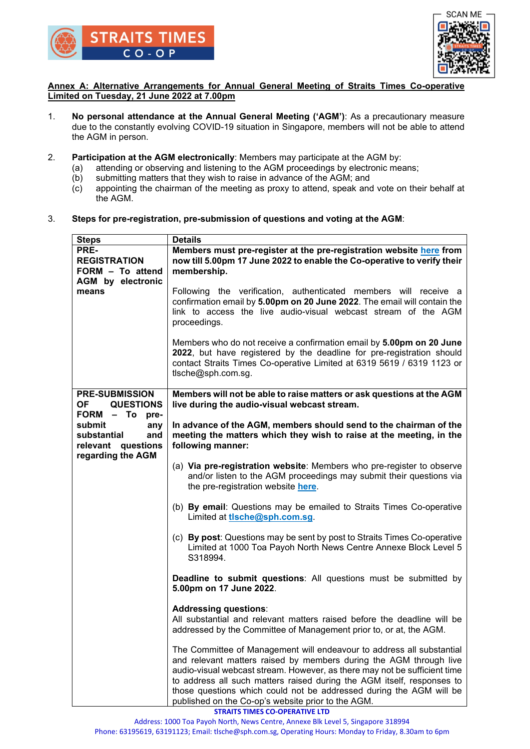



#### **Annex A: Alternative Arrangements for Annual General Meeting of Straits Times Co-operative Limited on Tuesday, 21 June 2022 at 7.00pm**

- 1. **No personal attendance at the Annual General Meeting ('AGM')**: As a precautionary measure due to the constantly evolving COVID-19 situation in Singapore, members will not be able to attend the AGM in person.
- 2. **Participation at the AGM electronically**: Members may participate at the AGM by:
	- (a) attending or observing and listening to the AGM proceedings by electronic means;
	- (b) submitting matters that they wish to raise in advance of the AGM; and
	- (c) appointing the chairman of the meeting as proxy to attend, speak and vote on their behalf at the AGM.
- 3. **Steps for pre-registration, pre-submission of questions and voting at the AGM**:

| <b>Steps</b>                                                                                   | <b>Details</b>                                                                                                                                      |  |  |  |  |
|------------------------------------------------------------------------------------------------|-----------------------------------------------------------------------------------------------------------------------------------------------------|--|--|--|--|
| PRE-                                                                                           | Members must pre-register at the pre-registration website here from                                                                                 |  |  |  |  |
| <b>REGISTRATION</b>                                                                            | now till 5.00pm 17 June 2022 to enable the Co-operative to verify their                                                                             |  |  |  |  |
| FORM - To attend                                                                               | membership.                                                                                                                                         |  |  |  |  |
| <b>AGM</b> by electronic                                                                       |                                                                                                                                                     |  |  |  |  |
| means                                                                                          | Following the verification, authenticated members will receive a                                                                                    |  |  |  |  |
|                                                                                                | confirmation email by 5.00pm on 20 June 2022. The email will contain the                                                                            |  |  |  |  |
|                                                                                                | link to access the live audio-visual webcast stream of the AGM                                                                                      |  |  |  |  |
|                                                                                                | proceedings.                                                                                                                                        |  |  |  |  |
|                                                                                                |                                                                                                                                                     |  |  |  |  |
|                                                                                                | Members who do not receive a confirmation email by 5.00pm on 20 June                                                                                |  |  |  |  |
|                                                                                                | 2022, but have registered by the deadline for pre-registration should                                                                               |  |  |  |  |
|                                                                                                | contact Straits Times Co-operative Limited at 6319 5619 / 6319 1123 or                                                                              |  |  |  |  |
|                                                                                                | tlsche@sph.com.sg.                                                                                                                                  |  |  |  |  |
|                                                                                                |                                                                                                                                                     |  |  |  |  |
| <b>PRE-SUBMISSION</b><br>Members will not be able to raise matters or ask questions at the AGM |                                                                                                                                                     |  |  |  |  |
| OF QUESTIONS                                                                                   | live during the audio-visual webcast stream.                                                                                                        |  |  |  |  |
| FORM - To pre-                                                                                 |                                                                                                                                                     |  |  |  |  |
| submit<br>any                                                                                  | In advance of the AGM, members should send to the chairman of the                                                                                   |  |  |  |  |
| substantial                                                                                    | meeting the matters which they wish to raise at the meeting, in the<br>and                                                                          |  |  |  |  |
| relevant questions                                                                             | following manner:                                                                                                                                   |  |  |  |  |
| regarding the AGM                                                                              |                                                                                                                                                     |  |  |  |  |
|                                                                                                | (a) Via pre-registration website: Members who pre-register to observe                                                                               |  |  |  |  |
|                                                                                                | and/or listen to the AGM proceedings may submit their questions via<br>the pre-registration website here.                                           |  |  |  |  |
|                                                                                                |                                                                                                                                                     |  |  |  |  |
|                                                                                                | (b) By email: Questions may be emailed to Straits Times Co-operative                                                                                |  |  |  |  |
|                                                                                                | Limited at tlsche@sph.com.sg.                                                                                                                       |  |  |  |  |
|                                                                                                |                                                                                                                                                     |  |  |  |  |
|                                                                                                | (c) By post: Questions may be sent by post to Straits Times Co-operative                                                                            |  |  |  |  |
|                                                                                                | Limited at 1000 Toa Payoh North News Centre Annexe Block Level 5                                                                                    |  |  |  |  |
|                                                                                                | S318994.                                                                                                                                            |  |  |  |  |
|                                                                                                |                                                                                                                                                     |  |  |  |  |
|                                                                                                | Deadline to submit questions: All questions must be submitted by                                                                                    |  |  |  |  |
|                                                                                                | 5.00pm on 17 June 2022.                                                                                                                             |  |  |  |  |
|                                                                                                |                                                                                                                                                     |  |  |  |  |
|                                                                                                | <b>Addressing questions:</b>                                                                                                                        |  |  |  |  |
|                                                                                                | All substantial and relevant matters raised before the deadline will be                                                                             |  |  |  |  |
|                                                                                                | addressed by the Committee of Management prior to, or at, the AGM.                                                                                  |  |  |  |  |
|                                                                                                |                                                                                                                                                     |  |  |  |  |
|                                                                                                | The Committee of Management will endeavour to address all substantial                                                                               |  |  |  |  |
|                                                                                                | and relevant matters raised by members during the AGM through live                                                                                  |  |  |  |  |
|                                                                                                | audio-visual webcast stream. However, as there may not be sufficient time<br>to address all such matters raised during the AGM itself, responses to |  |  |  |  |
|                                                                                                | those questions which could not be addressed during the AGM will be                                                                                 |  |  |  |  |
|                                                                                                | published on the Co-op's website prior to the AGM.                                                                                                  |  |  |  |  |
|                                                                                                | <b>STRAITS TIMES CO-OPERATIVE LTD</b>                                                                                                               |  |  |  |  |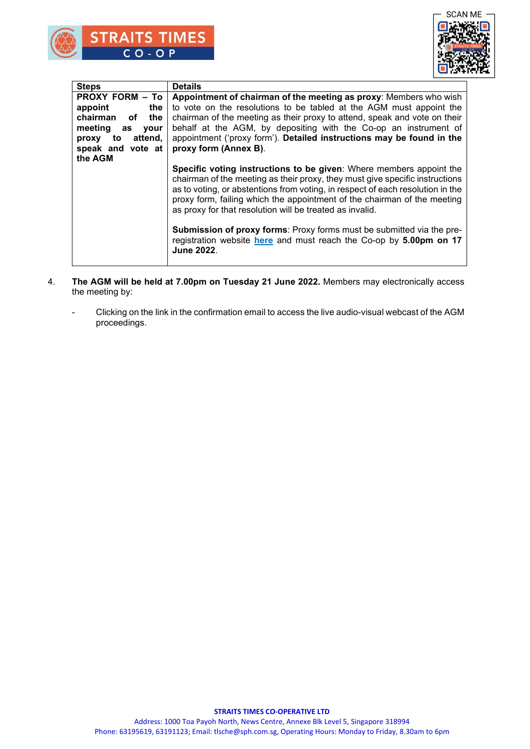

| <b>Steps</b>                 | <b>Details</b>                                                                                                                                                                                                                                                                                                                                                                |  |  |
|------------------------------|-------------------------------------------------------------------------------------------------------------------------------------------------------------------------------------------------------------------------------------------------------------------------------------------------------------------------------------------------------------------------------|--|--|
| <b>PROXY FORM - To</b>       | Appointment of chairman of the meeting as proxy: Members who wish                                                                                                                                                                                                                                                                                                             |  |  |
| the<br>appoint               | to vote on the resolutions to be tabled at the AGM must appoint the                                                                                                                                                                                                                                                                                                           |  |  |
| chairman<br>the<br>of        | chairman of the meeting as their proxy to attend, speak and vote on their                                                                                                                                                                                                                                                                                                     |  |  |
| meeting<br>as<br><b>vour</b> | behalf at the AGM, by depositing with the Co-op an instrument of                                                                                                                                                                                                                                                                                                              |  |  |
| attend.<br>to<br>proxy       | appointment ('proxy form'). Detailed instructions may be found in the                                                                                                                                                                                                                                                                                                         |  |  |
| speak and vote at            | proxy form (Annex B).                                                                                                                                                                                                                                                                                                                                                         |  |  |
| the AGM                      |                                                                                                                                                                                                                                                                                                                                                                               |  |  |
|                              | Specific voting instructions to be given: Where members appoint the<br>chairman of the meeting as their proxy, they must give specific instructions<br>as to voting, or abstentions from voting, in respect of each resolution in the<br>proxy form, failing which the appointment of the chairman of the meeting<br>as proxy for that resolution will be treated as invalid. |  |  |
|                              | <b>Submission of proxy forms: Proxy forms must be submitted via the pre-</b><br>registration website here and must reach the Co-op by 5.00pm on 17<br><b>June 2022.</b>                                                                                                                                                                                                       |  |  |

- 4. **The AGM will be held at 7.00pm on Tuesday 21 June 2022.** Members may electronically access the meeting by:
	- Clicking on the link in the confirmation email to access the live audio-visual webcast of the AGM proceedings.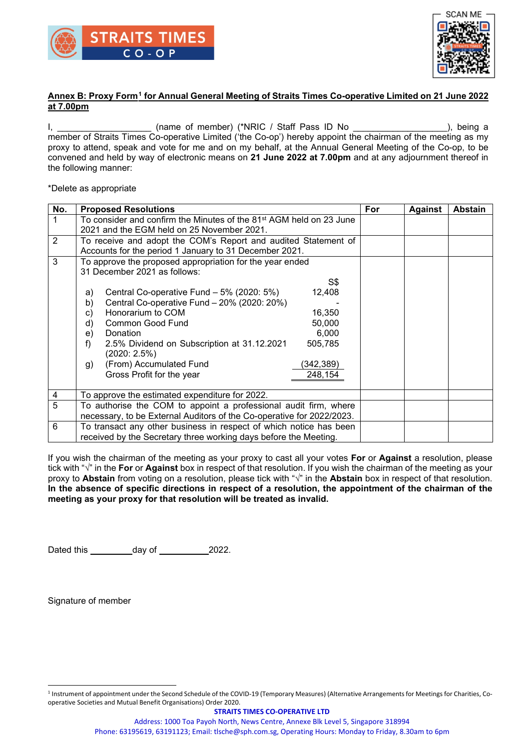



#### **Annex B: Proxy Form[1](#page-5-0) for Annual General Meeting of Straits Times Co-operative Limited on 21 June 2022 at 7.00pm**

I, the contract the control of member) (\*NRIC / Staff Pass ID No the control of the control of the control of the control of the control of the control of the control of the control of the control of the control of the con member of Straits Times Co-operative Limited ('the Co-op') hereby appoint the chairman of the meeting as my proxy to attend, speak and vote for me and on my behalf, at the Annual General Meeting of the Co-op, to be convened and held by way of electronic means on **21 June 2022 at 7.00pm** and at any adjournment thereof in the following manner:

\*Delete as appropriate

| No. | <b>Proposed Resolutions</b>                                                                                                                                                                                                                                                                                                                                                              | For | <b>Against</b> | <b>Abstain</b> |
|-----|------------------------------------------------------------------------------------------------------------------------------------------------------------------------------------------------------------------------------------------------------------------------------------------------------------------------------------------------------------------------------------------|-----|----------------|----------------|
|     | To consider and confirm the Minutes of the 81 <sup>st</sup> AGM held on 23 June<br>2021 and the EGM held on 25 November 2021.                                                                                                                                                                                                                                                            |     |                |                |
| 2   | To receive and adopt the COM's Report and audited Statement of<br>Accounts for the period 1 January to 31 December 2021.                                                                                                                                                                                                                                                                 |     |                |                |
| 3   | To approve the proposed appropriation for the year ended<br>31 December 2021 as follows:<br>S\$                                                                                                                                                                                                                                                                                          |     |                |                |
|     | Central Co-operative Fund - 5% (2020: 5%)<br>12,408<br>a)<br>Central Co-operative Fund - 20% (2020: 20%)<br>b)<br>Honorarium to COM<br>16,350<br>C)<br>50,000<br>Common Good Fund<br>d)<br>6,000<br>Donation<br>e)<br>2.5% Dividend on Subscription at 31.12.2021<br>505,785<br>f)<br>(2020: 2.5%)<br>(From) Accumulated Fund<br>(342,389)<br>g)<br>Gross Profit for the year<br>248,154 |     |                |                |
| 4   | To approve the estimated expenditure for 2022.                                                                                                                                                                                                                                                                                                                                           |     |                |                |
| 5   | To authorise the COM to appoint a professional audit firm, where<br>necessary, to be External Auditors of the Co-operative for 2022/2023.                                                                                                                                                                                                                                                |     |                |                |
| 6   | To transact any other business in respect of which notice has been<br>received by the Secretary three working days before the Meeting.                                                                                                                                                                                                                                                   |     |                |                |

If you wish the chairman of the meeting as your proxy to cast all your votes **For** or **Against** a resolution, please tick with "**√**" in the **For** or **Against** box in respect of that resolution. If you wish the chairman of the meeting as your proxy to **Abstain** from voting on a resolution, please tick with "**√**" in the **Abstain** box in respect of that resolution. **In the absence of specific directions in respect of a resolution, the appointment of the chairman of the meeting as your proxy for that resolution will be treated as invalid.**

Dated this  $\_\_\_\_\_\$  day of  $\_\_\_\_\_\_2$  2022.

Signature of member

Address: 1000 Toa Payoh North, News Centre, Annexe Blk Level 5, Singapore 318994

Phone: 63195619, 63191123; Email: tlsche@sph.com.sg, Operating Hours: Monday to Friday, 8.30am to 6pm

<span id="page-5-0"></span><sup>&</sup>lt;sup>1</sup> Instrument of appointment under the Second Schedule of the COVID-19 (Temporary Measures) (Alternative Arrangements for Meetings for Charities, Cooperative Societies and Mutual Benefit Organisations) Order 2020.